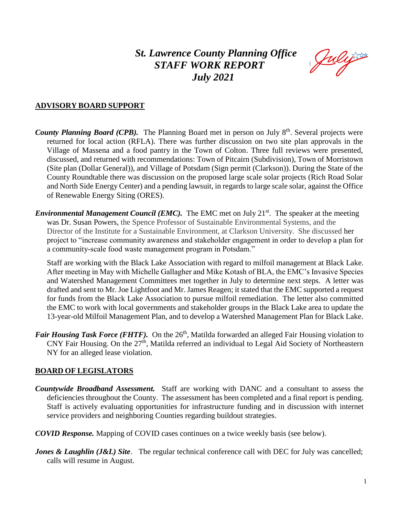# *St. Lawrence County Planning Office STAFF WORK REPORT July 2021*

Julijs

#### **ADVISORY BOARD SUPPORT**

- County Planning Board (CPB). The Planning Board met in person on July 8<sup>th</sup>. Several projects were returned for local action (RFLA). There was further discussion on two site plan approvals in the Village of Massena and a food pantry in the Town of Colton. Three full reviews were presented, discussed, and returned with recommendations: Town of Pitcairn (Subdivision), Town of Morristown (Site plan (Dollar General)), and Village of Potsdam (Sign permit (Clarkson)). During the State of the County Roundtable there was discussion on the proposed large scale solar projects (Rich Road Solar and North Side Energy Center) and a pending lawsuit, in regards to large scale solar, against the Office of Renewable Energy Siting (ORES).
- *Environmental Management Council (EMC)*. The EMC met on July 21<sup>st</sup>. The speaker at the meeting was Dr. Susan Powers, the Spence Professor of Sustainable Environmental Systems, and the Director of the Institute for a Sustainable Environment, at Clarkson University. She discussed her project to "increase community awareness and stakeholder engagement in order to develop a plan for a community-scale food waste management program in Potsdam."

Staff are working with the Black Lake Association with regard to milfoil management at Black Lake. After meeting in May with Michelle Gallagher and Mike Kotash of BLA, the EMC's Invasive Species and Watershed Management Committees met together in July to determine next steps. A letter was drafted and sent to Mr. Joe Lightfoot and Mr. James Reagen; it stated that the EMC supported a request for funds from the Black Lake Association to pursue milfoil remediation. The letter also committed the EMC to work with local governments and stakeholder groups in the Black Lake area to update the 13-year-old Milfoil Management Plan, and to develop a Watershed Management Plan for Black Lake.

*Fair Housing Task Force (FHTF).* On the 26<sup>th</sup>, Matilda forwarded an alleged Fair Housing violation to CNY Fair Housing. On the 27<sup>th</sup>, Matilda referred an individual to Legal Aid Society of Northeastern NY for an alleged lease violation.

#### **BOARD OF LEGISLATORS**

- *Countywide Broadband Assessment.* Staff are working with DANC and a consultant to assess the deficiencies throughout the County. The assessment has been completed and a final report is pending. Staff is actively evaluating opportunities for infrastructure funding and in discussion with internet service providers and neighboring Counties regarding buildout strategies.
- *COVID Response.* Mapping of COVID cases continues on a twice weekly basis (see below).
- *Jones & Laughlin (J&L) Site.* The regular technical conference call with DEC for July was cancelled; calls will resume in August.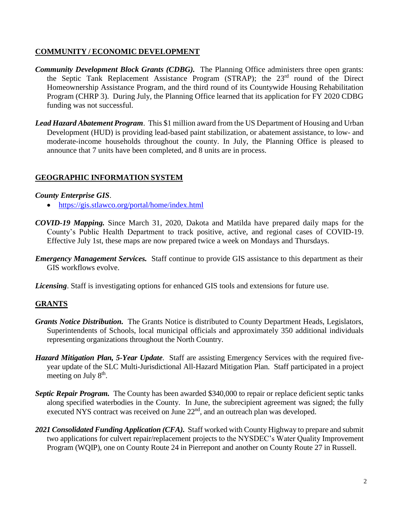## **COMMUNITY / ECONOMIC DEVELOPMENT**

- *Community Development Block Grants (CDBG).* The Planning Office administers three open grants: the Septic Tank Replacement Assistance Program (STRAP); the 23<sup>rd</sup> round of the Direct Homeownership Assistance Program, and the third round of its Countywide Housing Rehabilitation Program (CHRP 3). During July, the Planning Office learned that its application for FY 2020 CDBG funding was not successful.
- *Lead Hazard Abatement Program*. This \$1 million award from the US Department of Housing and Urban Development (HUD) is providing lead-based paint stabilization, or abatement assistance, to low- and moderate-income households throughout the county. In July, the Planning Office is pleased to announce that 7 units have been completed, and 8 units are in process.

## **GEOGRAPHIC INFORMATION SYSTEM**

#### *County Enterprise GIS*.

- <https://gis.stlawco.org/portal/home/index.html>
- *COVID-19 Mapping.* Since March 31, 2020, Dakota and Matilda have prepared daily maps for the County's Public Health Department to track positive, active, and regional cases of COVID-19. Effective July 1st, these maps are now prepared twice a week on Mondays and Thursdays.
- *Emergency Management Services.* Staff continue to provide GIS assistance to this department as their GIS workflows evolve.

*Licensing*. Staff is investigating options for enhanced GIS tools and extensions for future use.

# **GRANTS**

- *Grants Notice Distribution.* The Grants Notice is distributed to County Department Heads, Legislators, Superintendents of Schools, local municipal officials and approximately 350 additional individuals representing organizations throughout the North Country.
- *Hazard Mitigation Plan, 5-Year Update*. Staff are assisting Emergency Services with the required fiveyear update of the SLC Multi-Jurisdictional All-Hazard Mitigation Plan. Staff participated in a project meeting on July 8<sup>th</sup>.
- *Septic Repair Program.* The County has been awarded \$340,000 to repair or replace deficient septic tanks along specified waterbodies in the County. In June, the subrecipient agreement was signed; the fully executed NYS contract was received on June 22<sup>nd</sup>, and an outreach plan was developed.
- 2021 Consolidated Funding Application (CFA). Staff worked with County Highway to prepare and submit two applications for culvert repair/replacement projects to the NYSDEC's Water Quality Improvement Program (WQIP), one on County Route 24 in Pierrepont and another on County Route 27 in Russell.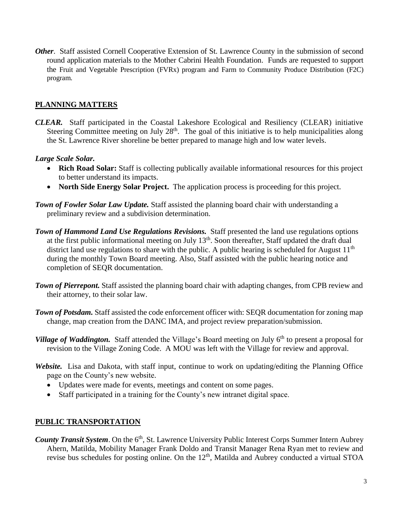*Other.* Staff assisted Cornell Cooperative Extension of St. Lawrence County in the submission of second round application materials to the Mother Cabrini Health Foundation. Funds are requested to support the Fruit and Vegetable Prescription (FVRx) program and Farm to Community Produce Distribution (F2C) program.

#### **PLANNING MATTERS**

*CLEAR.* Staff participated in the Coastal Lakeshore Ecological and Resiliency (CLEAR) initiative Steering Committee meeting on July 28<sup>th</sup>. The goal of this initiative is to help municipalities along the St. Lawrence River shoreline be better prepared to manage high and low water levels.

## *Large Scale Solar.*

- **Rich Road Solar:** Staff is collecting publically available informational resources for this project to better understand its impacts.
- **North Side Energy Solar Project.** The application process is proceeding for this project.
- *Town of Fowler Solar Law Update.* Staff assisted the planning board chair with understanding a preliminary review and a subdivision determination.
- *Town of Hammond Land Use Regulations Revisions.* Staff presented the land use regulations options at the first public informational meeting on July 13th. Soon thereafter, Staff updated the draft dual district land use regulations to share with the public. A public hearing is scheduled for August  $11<sup>th</sup>$ during the monthly Town Board meeting. Also, Staff assisted with the public hearing notice and completion of SEQR documentation.
- *Town of Pierrepont.* Staff assisted the planning board chair with adapting changes, from CPB review and their attorney, to their solar law.
- **Town of Potsdam.** Staff assisted the code enforcement officer with: SEQR documentation for zoning map change, map creation from the DANC IMA, and project review preparation/submission.
- Village of Waddington. Staff attended the Village's Board meeting on July 6<sup>th</sup> to present a proposal for revision to the Village Zoning Code. A MOU was left with the Village for review and approval.
- *Website.* Lisa and Dakota, with staff input, continue to work on updating/editing the Planning Office page on the County's new website.
	- Updates were made for events, meetings and content on some pages.
	- Staff participated in a training for the County's new intranet digital space.

## **PUBLIC TRANSPORTATION**

County Transit System. On the 6<sup>th</sup>, St. Lawrence University Public Interest Corps Summer Intern Aubrey Ahern, Matilda, Mobility Manager Frank Doldo and Transit Manager Rena Ryan met to review and revise bus schedules for posting online. On the 12<sup>th</sup>, Matilda and Aubrey conducted a virtual STOA